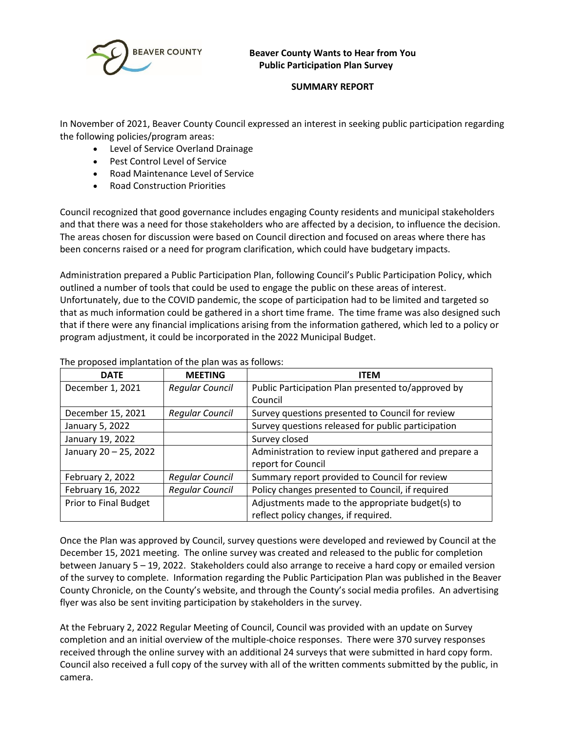

## **Beaver County Wants to Hear from You Public Participation Plan Survey**

# **SUMMARY REPORT**

In November of 2021, Beaver County Council expressed an interest in seeking public participation regarding the following policies/program areas:

- Level of Service Overland Drainage
- Pest Control Level of Service
- Road Maintenance Level of Service
- Road Construction Priorities

Council recognized that good governance includes engaging County residents and municipal stakeholders and that there was a need for those stakeholders who are affected by a decision, to influence the decision. The areas chosen for discussion were based on Council direction and focused on areas where there has been concerns raised or a need for program clarification, which could have budgetary impacts.

Administration prepared a Public Participation Plan, following Council's Public Participation Policy, which outlined a number of tools that could be used to engage the public on these areas of interest. Unfortunately, due to the COVID pandemic, the scope of participation had to be limited and targeted so that as much information could be gathered in a short time frame. The time frame was also designed such that if there were any financial implications arising from the information gathered, which led to a policy or program adjustment, it could be incorporated in the 2022 Municipal Budget.

| <b>DATE</b>                  | <b>MEETING</b>         | <b>ITEM</b>                                           |  |
|------------------------------|------------------------|-------------------------------------------------------|--|
| December 1, 2021             | <b>Regular Council</b> | Public Participation Plan presented to/approved by    |  |
|                              |                        | Council                                               |  |
| December 15, 2021            | <b>Regular Council</b> | Survey questions presented to Council for review      |  |
| January 5, 2022              |                        | Survey questions released for public participation    |  |
| January 19, 2022             |                        | Survey closed                                         |  |
| January 20 - 25, 2022        |                        | Administration to review input gathered and prepare a |  |
|                              |                        | report for Council                                    |  |
| February 2, 2022             | <b>Regular Council</b> | Summary report provided to Council for review         |  |
| February 16, 2022            | <b>Regular Council</b> | Policy changes presented to Council, if required      |  |
| <b>Prior to Final Budget</b> |                        | Adjustments made to the appropriate budget(s) to      |  |
|                              |                        | reflect policy changes, if required.                  |  |

The proposed implantation of the plan was as follows:

Once the Plan was approved by Council, survey questions were developed and reviewed by Council at the December 15, 2021 meeting. The online survey was created and released to the public for completion between January 5 – 19, 2022. Stakeholders could also arrange to receive a hard copy or emailed version of the survey to complete. Information regarding the Public Participation Plan was published in the Beaver County Chronicle, on the County's website, and through the County's social media profiles. An advertising flyer was also be sent inviting participation by stakeholders in the survey.

At the February 2, 2022 Regular Meeting of Council, Council was provided with an update on Survey completion and an initial overview of the multiple-choice responses. There were 370 survey responses received through the online survey with an additional 24 surveys that were submitted in hard copy form. Council also received a full copy of the survey with all of the written comments submitted by the public, in camera.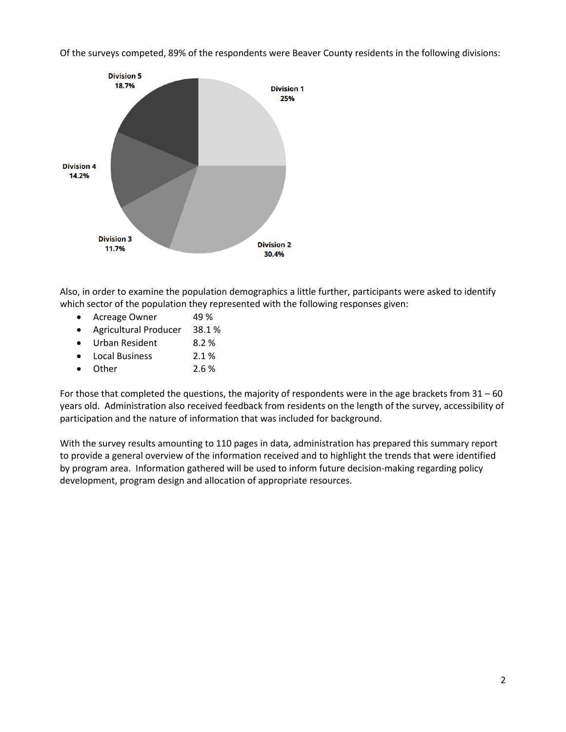Of the surveys competed, 89% of the respondents were Beaver County residents in the following divisions:



Also, in order to examine the population demographics a little further, participants were asked to identify which sector of the population they represented with the following responses given:

- Acreage Owner 49 %
- Agricultural Producer 38.1 %
- Urban Resident 8.2 %
- Local Business 2.1 %
- Other 2.6 %

For those that completed the questions, the majority of respondents were in the age brackets from 31 – 60 years old. Administration also received feedback from residents on the length of the survey, accessibility of participation and the nature of information that was included for background.

With the survey results amounting to 110 pages in data, administration has prepared this summary report to provide a general overview of the information received and to highlight the trends that were identified by program area. Information gathered will be used to inform future decision-making regarding policy development, program design and allocation of appropriate resources.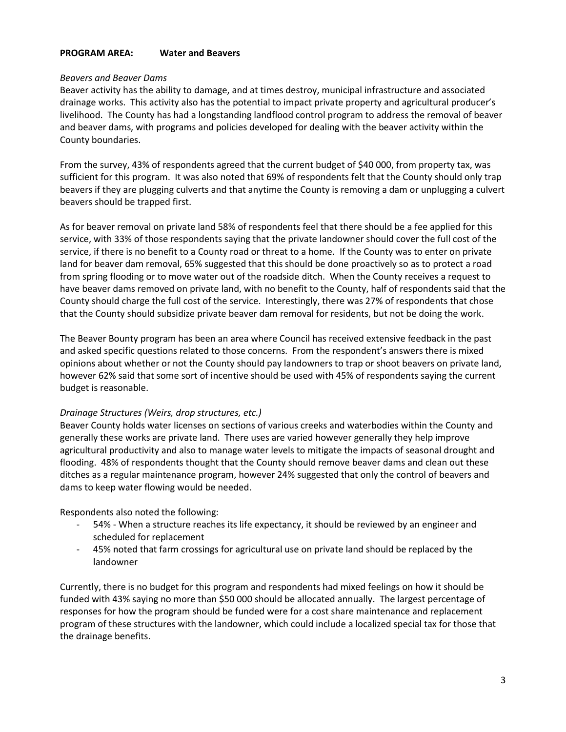#### **PROGRAM AREA: Water and Beavers**

#### *Beavers and Beaver Dams*

Beaver activity has the ability to damage, and at times destroy, municipal infrastructure and associated drainage works. This activity also has the potential to impact private property and agricultural producer's livelihood. The County has had a longstanding landflood control program to address the removal of beaver and beaver dams, with programs and policies developed for dealing with the beaver activity within the County boundaries.

From the survey, 43% of respondents agreed that the current budget of \$40 000, from property tax, was sufficient for this program. It was also noted that 69% of respondents felt that the County should only trap beavers if they are plugging culverts and that anytime the County is removing a dam or unplugging a culvert beavers should be trapped first.

As for beaver removal on private land 58% of respondents feel that there should be a fee applied for this service, with 33% of those respondents saying that the private landowner should cover the full cost of the service, if there is no benefit to a County road or threat to a home. If the County was to enter on private land for beaver dam removal, 65% suggested that this should be done proactively so as to protect a road from spring flooding or to move water out of the roadside ditch. When the County receives a request to have beaver dams removed on private land, with no benefit to the County, half of respondents said that the County should charge the full cost of the service. Interestingly, there was 27% of respondents that chose that the County should subsidize private beaver dam removal for residents, but not be doing the work.

The Beaver Bounty program has been an area where Council has received extensive feedback in the past and asked specific questions related to those concerns. From the respondent's answers there is mixed opinions about whether or not the County should pay landowners to trap or shoot beavers on private land, however 62% said that some sort of incentive should be used with 45% of respondents saying the current budget is reasonable.

## *Drainage Structures (Weirs, drop structures, etc.)*

Beaver County holds water licenses on sections of various creeks and waterbodies within the County and generally these works are private land. There uses are varied however generally they help improve agricultural productivity and also to manage water levels to mitigate the impacts of seasonal drought and flooding. 48% of respondents thought that the County should remove beaver dams and clean out these ditches as a regular maintenance program, however 24% suggested that only the control of beavers and dams to keep water flowing would be needed.

Respondents also noted the following:

- 54% When a structure reaches its life expectancy, it should be reviewed by an engineer and scheduled for replacement
- 45% noted that farm crossings for agricultural use on private land should be replaced by the landowner

Currently, there is no budget for this program and respondents had mixed feelings on how it should be funded with 43% saying no more than \$50 000 should be allocated annually. The largest percentage of responses for how the program should be funded were for a cost share maintenance and replacement program of these structures with the landowner, which could include a localized special tax for those that the drainage benefits.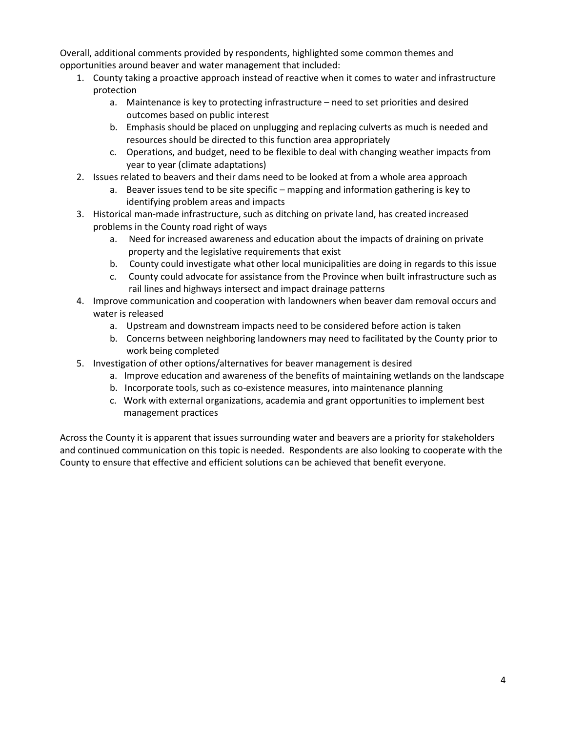Overall, additional comments provided by respondents, highlighted some common themes and opportunities around beaver and water management that included:

- 1. County taking a proactive approach instead of reactive when it comes to water and infrastructure protection
	- a. Maintenance is key to protecting infrastructure need to set priorities and desired outcomes based on public interest
	- b. Emphasis should be placed on unplugging and replacing culverts as much is needed and resources should be directed to this function area appropriately
	- c. Operations, and budget, need to be flexible to deal with changing weather impacts from year to year (climate adaptations)
- 2. Issues related to beavers and their dams need to be looked at from a whole area approach
	- a. Beaver issues tend to be site specific mapping and information gathering is key to identifying problem areas and impacts
- 3. Historical man-made infrastructure, such as ditching on private land, has created increased problems in the County road right of ways
	- a. Need for increased awareness and education about the impacts of draining on private property and the legislative requirements that exist
	- b. County could investigate what other local municipalities are doing in regards to this issue
	- c. County could advocate for assistance from the Province when built infrastructure such as rail lines and highways intersect and impact drainage patterns
- 4. Improve communication and cooperation with landowners when beaver dam removal occurs and water is released
	- a. Upstream and downstream impacts need to be considered before action is taken
	- b. Concerns between neighboring landowners may need to facilitated by the County prior to work being completed
- 5. Investigation of other options/alternatives for beaver management is desired
	- a. Improve education and awareness of the benefits of maintaining wetlands on the landscape
	- b. Incorporate tools, such as co-existence measures, into maintenance planning
	- c. Work with external organizations, academia and grant opportunities to implement best management practices

Across the County it is apparent that issues surrounding water and beavers are a priority for stakeholders and continued communication on this topic is needed. Respondents are also looking to cooperate with the County to ensure that effective and efficient solutions can be achieved that benefit everyone.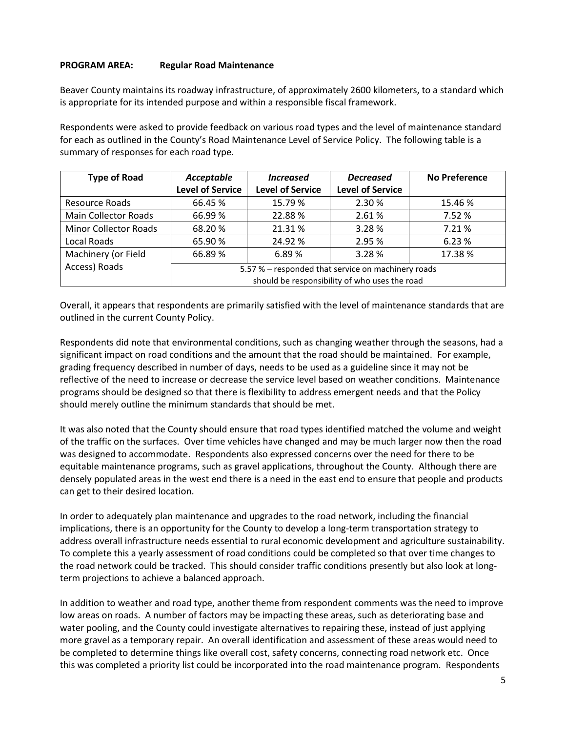## **PROGRAM AREA: Regular Road Maintenance**

Beaver County maintains its roadway infrastructure, of approximately 2600 kilometers, to a standard which is appropriate for its intended purpose and within a responsible fiscal framework.

Respondents were asked to provide feedback on various road types and the level of maintenance standard for each as outlined in the County's Road Maintenance Level of Service Policy. The following table is a summary of responses for each road type.

| <b>Type of Road</b>          | Acceptable                                         | <b>Increased</b>        | <b>Decreased</b>        | <b>No Preference</b> |  |
|------------------------------|----------------------------------------------------|-------------------------|-------------------------|----------------------|--|
|                              | <b>Level of Service</b>                            | <b>Level of Service</b> | <b>Level of Service</b> |                      |  |
| <b>Resource Roads</b>        | 66.45%                                             | 15.79 %                 | 2.30%                   | 15.46 %              |  |
| <b>Main Collector Roads</b>  | 66.99%                                             | 22.88%                  | 2.61%                   | 7.52 %               |  |
| <b>Minor Collector Roads</b> | 68.20%                                             | 21.31%                  | 3.28%                   | 7.21%                |  |
| Local Roads                  | 65.90%                                             | 24.92 %                 | 2.95 %                  | 6.23 %               |  |
| Machinery (or Field          | 66.89%                                             | 6.89%                   | 3.28%                   | 17.38%               |  |
| Access) Roads                | 5.57 % - responded that service on machinery roads |                         |                         |                      |  |
|                              | should be responsibility of who uses the road      |                         |                         |                      |  |

Overall, it appears that respondents are primarily satisfied with the level of maintenance standards that are outlined in the current County Policy.

Respondents did note that environmental conditions, such as changing weather through the seasons, had a significant impact on road conditions and the amount that the road should be maintained. For example, grading frequency described in number of days, needs to be used as a guideline since it may not be reflective of the need to increase or decrease the service level based on weather conditions. Maintenance programs should be designed so that there is flexibility to address emergent needs and that the Policy should merely outline the minimum standards that should be met.

It was also noted that the County should ensure that road types identified matched the volume and weight of the traffic on the surfaces. Over time vehicles have changed and may be much larger now then the road was designed to accommodate. Respondents also expressed concerns over the need for there to be equitable maintenance programs, such as gravel applications, throughout the County. Although there are densely populated areas in the west end there is a need in the east end to ensure that people and products can get to their desired location.

In order to adequately plan maintenance and upgrades to the road network, including the financial implications, there is an opportunity for the County to develop a long-term transportation strategy to address overall infrastructure needs essential to rural economic development and agriculture sustainability. To complete this a yearly assessment of road conditions could be completed so that over time changes to the road network could be tracked. This should consider traffic conditions presently but also look at longterm projections to achieve a balanced approach.

In addition to weather and road type, another theme from respondent comments was the need to improve low areas on roads. A number of factors may be impacting these areas, such as deteriorating base and water pooling, and the County could investigate alternatives to repairing these, instead of just applying more gravel as a temporary repair. An overall identification and assessment of these areas would need to be completed to determine things like overall cost, safety concerns, connecting road network etc. Once this was completed a priority list could be incorporated into the road maintenance program. Respondents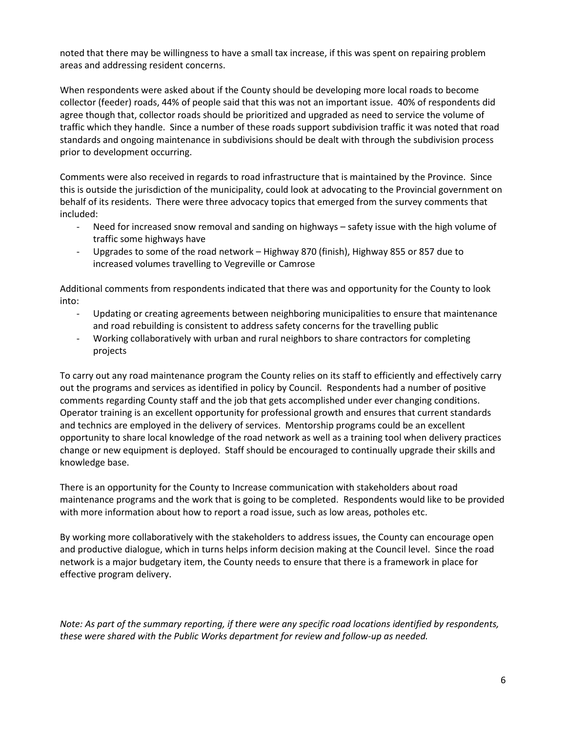noted that there may be willingness to have a small tax increase, if this was spent on repairing problem areas and addressing resident concerns.

When respondents were asked about if the County should be developing more local roads to become collector (feeder) roads, 44% of people said that this was not an important issue. 40% of respondents did agree though that, collector roads should be prioritized and upgraded as need to service the volume of traffic which they handle. Since a number of these roads support subdivision traffic it was noted that road standards and ongoing maintenance in subdivisions should be dealt with through the subdivision process prior to development occurring.

Comments were also received in regards to road infrastructure that is maintained by the Province. Since this is outside the jurisdiction of the municipality, could look at advocating to the Provincial government on behalf of its residents. There were three advocacy topics that emerged from the survey comments that included:

- Need for increased snow removal and sanding on highways safety issue with the high volume of traffic some highways have
- Upgrades to some of the road network Highway 870 (finish), Highway 855 or 857 due to increased volumes travelling to Vegreville or Camrose

Additional comments from respondents indicated that there was and opportunity for the County to look into:

- Updating or creating agreements between neighboring municipalities to ensure that maintenance and road rebuilding is consistent to address safety concerns for the travelling public
- Working collaboratively with urban and rural neighbors to share contractors for completing projects

To carry out any road maintenance program the County relies on its staff to efficiently and effectively carry out the programs and services as identified in policy by Council. Respondents had a number of positive comments regarding County staff and the job that gets accomplished under ever changing conditions. Operator training is an excellent opportunity for professional growth and ensures that current standards and technics are employed in the delivery of services. Mentorship programs could be an excellent opportunity to share local knowledge of the road network as well as a training tool when delivery practices change or new equipment is deployed. Staff should be encouraged to continually upgrade their skills and knowledge base.

There is an opportunity for the County to Increase communication with stakeholders about road maintenance programs and the work that is going to be completed. Respondents would like to be provided with more information about how to report a road issue, such as low areas, potholes etc.

By working more collaboratively with the stakeholders to address issues, the County can encourage open and productive dialogue, which in turns helps inform decision making at the Council level. Since the road network is a major budgetary item, the County needs to ensure that there is a framework in place for effective program delivery.

*Note: As part of the summary reporting, if there were any specific road locations identified by respondents, these were shared with the Public Works department for review and follow-up as needed.*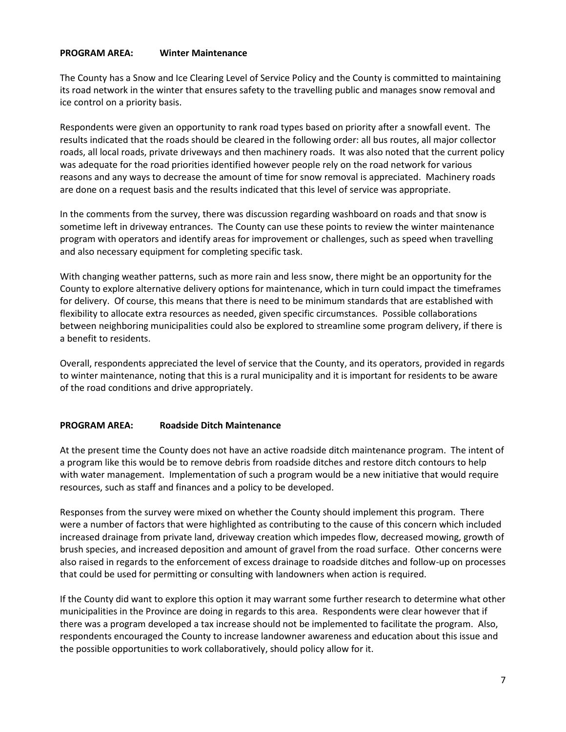### **PROGRAM AREA: Winter Maintenance**

The County has a Snow and Ice Clearing Level of Service Policy and the County is committed to maintaining its road network in the winter that ensures safety to the travelling public and manages snow removal and ice control on a priority basis.

Respondents were given an opportunity to rank road types based on priority after a snowfall event. The results indicated that the roads should be cleared in the following order: all bus routes, all major collector roads, all local roads, private driveways and then machinery roads. It was also noted that the current policy was adequate for the road priorities identified however people rely on the road network for various reasons and any ways to decrease the amount of time for snow removal is appreciated. Machinery roads are done on a request basis and the results indicated that this level of service was appropriate.

In the comments from the survey, there was discussion regarding washboard on roads and that snow is sometime left in driveway entrances. The County can use these points to review the winter maintenance program with operators and identify areas for improvement or challenges, such as speed when travelling and also necessary equipment for completing specific task.

With changing weather patterns, such as more rain and less snow, there might be an opportunity for the County to explore alternative delivery options for maintenance, which in turn could impact the timeframes for delivery. Of course, this means that there is need to be minimum standards that are established with flexibility to allocate extra resources as needed, given specific circumstances. Possible collaborations between neighboring municipalities could also be explored to streamline some program delivery, if there is a benefit to residents.

Overall, respondents appreciated the level of service that the County, and its operators, provided in regards to winter maintenance, noting that this is a rural municipality and it is important for residents to be aware of the road conditions and drive appropriately.

## **PROGRAM AREA: Roadside Ditch Maintenance**

At the present time the County does not have an active roadside ditch maintenance program. The intent of a program like this would be to remove debris from roadside ditches and restore ditch contours to help with water management. Implementation of such a program would be a new initiative that would require resources, such as staff and finances and a policy to be developed.

Responses from the survey were mixed on whether the County should implement this program. There were a number of factors that were highlighted as contributing to the cause of this concern which included increased drainage from private land, driveway creation which impedes flow, decreased mowing, growth of brush species, and increased deposition and amount of gravel from the road surface. Other concerns were also raised in regards to the enforcement of excess drainage to roadside ditches and follow-up on processes that could be used for permitting or consulting with landowners when action is required.

If the County did want to explore this option it may warrant some further research to determine what other municipalities in the Province are doing in regards to this area. Respondents were clear however that if there was a program developed a tax increase should not be implemented to facilitate the program. Also, respondents encouraged the County to increase landowner awareness and education about this issue and the possible opportunities to work collaboratively, should policy allow for it.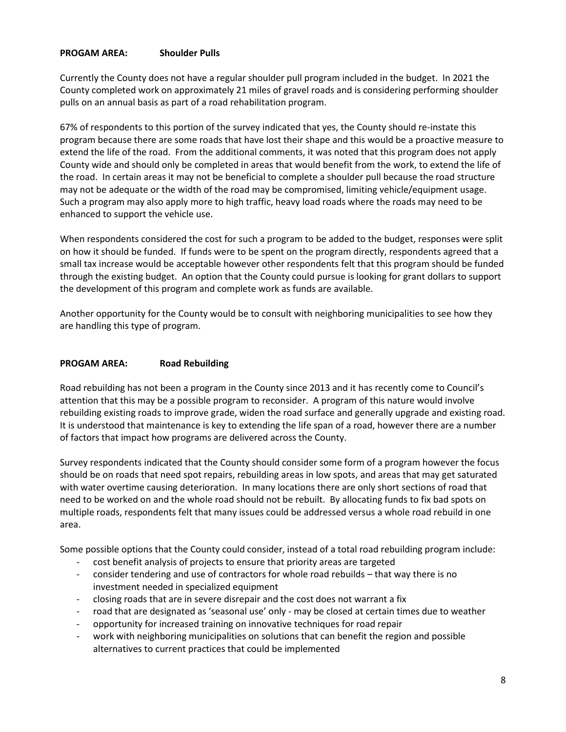## **PROGAM AREA: Shoulder Pulls**

Currently the County does not have a regular shoulder pull program included in the budget. In 2021 the County completed work on approximately 21 miles of gravel roads and is considering performing shoulder pulls on an annual basis as part of a road rehabilitation program.

67% of respondents to this portion of the survey indicated that yes, the County should re-instate this program because there are some roads that have lost their shape and this would be a proactive measure to extend the life of the road. From the additional comments, it was noted that this program does not apply County wide and should only be completed in areas that would benefit from the work, to extend the life of the road. In certain areas it may not be beneficial to complete a shoulder pull because the road structure may not be adequate or the width of the road may be compromised, limiting vehicle/equipment usage. Such a program may also apply more to high traffic, heavy load roads where the roads may need to be enhanced to support the vehicle use.

When respondents considered the cost for such a program to be added to the budget, responses were split on how it should be funded. If funds were to be spent on the program directly, respondents agreed that a small tax increase would be acceptable however other respondents felt that this program should be funded through the existing budget. An option that the County could pursue is looking for grant dollars to support the development of this program and complete work as funds are available.

Another opportunity for the County would be to consult with neighboring municipalities to see how they are handling this type of program.

### **PROGAM AREA: Road Rebuilding**

Road rebuilding has not been a program in the County since 2013 and it has recently come to Council's attention that this may be a possible program to reconsider. A program of this nature would involve rebuilding existing roads to improve grade, widen the road surface and generally upgrade and existing road. It is understood that maintenance is key to extending the life span of a road, however there are a number of factors that impact how programs are delivered across the County.

Survey respondents indicated that the County should consider some form of a program however the focus should be on roads that need spot repairs, rebuilding areas in low spots, and areas that may get saturated with water overtime causing deterioration. In many locations there are only short sections of road that need to be worked on and the whole road should not be rebuilt. By allocating funds to fix bad spots on multiple roads, respondents felt that many issues could be addressed versus a whole road rebuild in one area.

Some possible options that the County could consider, instead of a total road rebuilding program include:

- cost benefit analysis of projects to ensure that priority areas are targeted
- consider tendering and use of contractors for whole road rebuilds that way there is no investment needed in specialized equipment
- closing roads that are in severe disrepair and the cost does not warrant a fix
- road that are designated as 'seasonal use' only may be closed at certain times due to weather
- opportunity for increased training on innovative techniques for road repair
- work with neighboring municipalities on solutions that can benefit the region and possible alternatives to current practices that could be implemented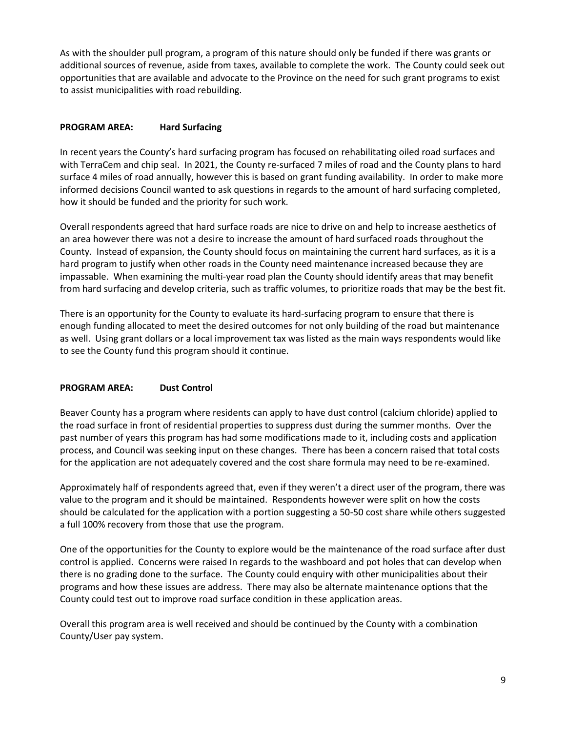As with the shoulder pull program, a program of this nature should only be funded if there was grants or additional sources of revenue, aside from taxes, available to complete the work. The County could seek out opportunities that are available and advocate to the Province on the need for such grant programs to exist to assist municipalities with road rebuilding.

# **PROGRAM AREA: Hard Surfacing**

In recent years the County's hard surfacing program has focused on rehabilitating oiled road surfaces and with TerraCem and chip seal. In 2021, the County re-surfaced 7 miles of road and the County plans to hard surface 4 miles of road annually, however this is based on grant funding availability. In order to make more informed decisions Council wanted to ask questions in regards to the amount of hard surfacing completed, how it should be funded and the priority for such work.

Overall respondents agreed that hard surface roads are nice to drive on and help to increase aesthetics of an area however there was not a desire to increase the amount of hard surfaced roads throughout the County. Instead of expansion, the County should focus on maintaining the current hard surfaces, as it is a hard program to justify when other roads in the County need maintenance increased because they are impassable. When examining the multi-year road plan the County should identify areas that may benefit from hard surfacing and develop criteria, such as traffic volumes, to prioritize roads that may be the best fit.

There is an opportunity for the County to evaluate its hard-surfacing program to ensure that there is enough funding allocated to meet the desired outcomes for not only building of the road but maintenance as well. Using grant dollars or a local improvement tax was listed as the main ways respondents would like to see the County fund this program should it continue.

## **PROGRAM AREA: Dust Control**

Beaver County has a program where residents can apply to have dust control (calcium chloride) applied to the road surface in front of residential properties to suppress dust during the summer months. Over the past number of years this program has had some modifications made to it, including costs and application process, and Council was seeking input on these changes. There has been a concern raised that total costs for the application are not adequately covered and the cost share formula may need to be re-examined.

Approximately half of respondents agreed that, even if they weren't a direct user of the program, there was value to the program and it should be maintained. Respondents however were split on how the costs should be calculated for the application with a portion suggesting a 50-50 cost share while others suggested a full 100% recovery from those that use the program.

One of the opportunities for the County to explore would be the maintenance of the road surface after dust control is applied. Concerns were raised In regards to the washboard and pot holes that can develop when there is no grading done to the surface. The County could enquiry with other municipalities about their programs and how these issues are address. There may also be alternate maintenance options that the County could test out to improve road surface condition in these application areas.

Overall this program area is well received and should be continued by the County with a combination County/User pay system.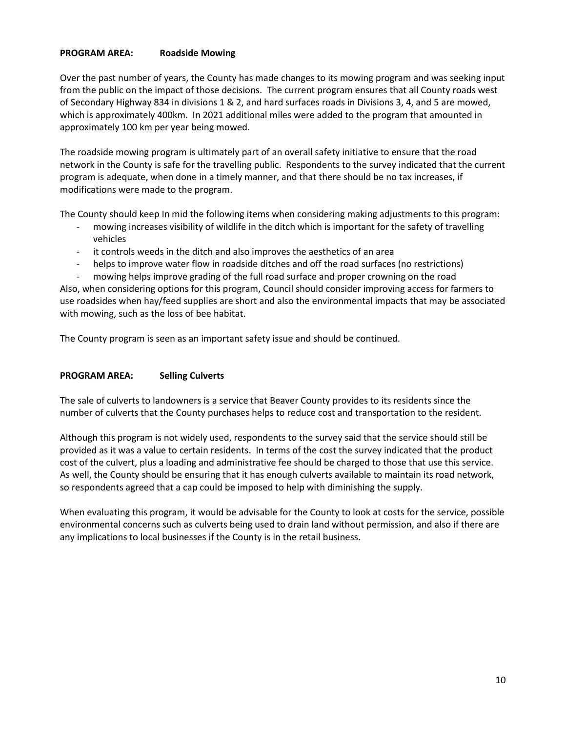# **PROGRAM AREA: Roadside Mowing**

Over the past number of years, the County has made changes to its mowing program and was seeking input from the public on the impact of those decisions. The current program ensures that all County roads west of Secondary Highway 834 in divisions 1 & 2, and hard surfaces roads in Divisions 3, 4, and 5 are mowed, which is approximately 400km. In 2021 additional miles were added to the program that amounted in approximately 100 km per year being mowed.

The roadside mowing program is ultimately part of an overall safety initiative to ensure that the road network in the County is safe for the travelling public. Respondents to the survey indicated that the current program is adequate, when done in a timely manner, and that there should be no tax increases, if modifications were made to the program.

The County should keep In mid the following items when considering making adjustments to this program:

- mowing increases visibility of wildlife in the ditch which is important for the safety of travelling vehicles
- it controls weeds in the ditch and also improves the aesthetics of an area
- helps to improve water flow in roadside ditches and off the road surfaces (no restrictions)
- mowing helps improve grading of the full road surface and proper crowning on the road

Also, when considering options for this program, Council should consider improving access for farmers to use roadsides when hay/feed supplies are short and also the environmental impacts that may be associated with mowing, such as the loss of bee habitat.

The County program is seen as an important safety issue and should be continued.

## **PROGRAM AREA: Selling Culverts**

The sale of culverts to landowners is a service that Beaver County provides to its residents since the number of culverts that the County purchases helps to reduce cost and transportation to the resident.

Although this program is not widely used, respondents to the survey said that the service should still be provided as it was a value to certain residents. In terms of the cost the survey indicated that the product cost of the culvert, plus a loading and administrative fee should be charged to those that use this service. As well, the County should be ensuring that it has enough culverts available to maintain its road network, so respondents agreed that a cap could be imposed to help with diminishing the supply.

When evaluating this program, it would be advisable for the County to look at costs for the service, possible environmental concerns such as culverts being used to drain land without permission, and also if there are any implications to local businesses if the County is in the retail business.